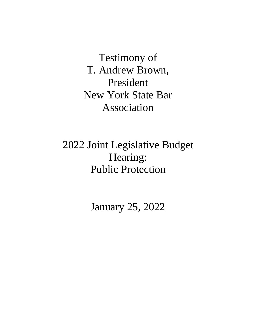Testimony of T. Andrew Brown, President New York State Bar Association

2022 Joint Legislative Budget Hearing: Public Protection

January 25, 2022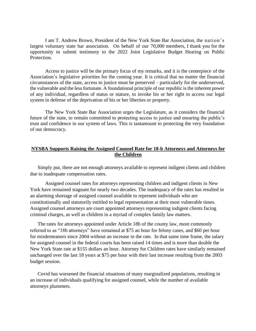I am T. Andrew Brown, President of the New York State Bar Association, the nation's largest voluntary state bar association. On behalf of our 70,000 members, I thank you for the opportunity to submit testimony to the 2022 Joint Legislative Budget Hearing on Public Protection.

Access to justice will be the primary focus of my remarks, and it is the centerpiece of the Association's legislative priorities for the coming year. It is critical that no matter the financial circumstances of the state, access to justice must be preserved – particularly for the underserved, the vulnerable and the less fortunate. A foundational principle of our republic is the inherent power of any individual, regardless of status or stature, to invoke his or her right to access our legal system in defense of the deprivation of his or her liberties or property.

The New York State Bar Association urges the Legislature, as it considers the financial future of the state, to remain committed to protecting access to justice and ensuring the public's trust and confidence in our system of laws. This is tantamount to protecting the very foundation of our democracy.

# **NYSBA Supports Raising the Assigned Counsel Rate for 18-b Attorneys and Attorneys for the Children**

Simply put, there are not enough attorneys available to represent indigent clients and children due to inadequate compensation rates.

Assigned counsel rates for attorneys representing children and indigent clients in New York have remained stagnant for nearly two decades. The inadequacy of the rates has resulted in an alarming shortage of assigned counsel available to represent individuals who are constitutionally and statutorily entitled to legal representation at their most vulnerable times. Assigned counsel attorneys are court appointed attorneys representing indigent clients facing criminal charges, as well as children in a myriad of complex family law matters.

The rates for attorneys appointed under Article 18b of the county law, more commonly referred to as "18b attorneys" have remained at \$75 an hour for felony cases, and \$60 per hour for misdemeanors since 2004 without an increase in the rate. In that same time frame, the salary for assigned counsel in the federal courts has been raised 14 times and is more than double the New York State rate at \$155 dollars an hour. Attorney for Children rates have similarly remained unchanged over the last 18 years at \$75 per hour with their last increase resulting from the 2003 budget session.

Covid has worsened the financial situations of many marginalized populations, resulting in an increase of individuals qualifying for assigned counsel, while the number of available attorneys plummets.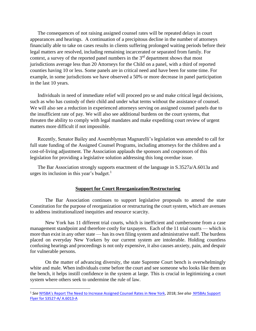The consequences of not raising assigned counsel rates will be repeated delays in court appearances and hearings. A continuation of a precipitous decline in the number of attorneys financially able to take on cases results in clients suffering prolonged waiting periods before their legal matters are resolved, including remaining incarcerated or separated from family. For context, a survey of the reported panel numbers in the  $3<sup>rd</sup>$  department shows that most jurisdictions average less than 20 Attorneys for the Child on a panel, with a third of reported counties having 10 or less. Some panels are in critical need and have been for some time. For example, in some jurisdictions we have observed a 50% or more decrease in panel participation in the last 10 years.

Individuals in need of immediate relief will proceed pro se and make critical legal decisions, such as who has custody of their child and under what terms without the assistance of counsel. We will also see a reduction in experienced attorneys serving on assigned counsel panels due to the insufficient rate of pay. We will also see additional burdens on the court systems, that threaten the ability to comply with legal mandates and make expediting court review of urgent matters more difficult if not impossible.

Recently, Senator Bailey and Assemblyman Magnarelli's legislation was amended to call for full state funding of the Assigned Counsel Programs, including attorneys for the children and a cost-of-living adjustment. The Association applauds the sponsors and cosponsors of this legislation for providing a legislative solution addressing this long overdue issue.

The Bar Association strongly supports enactment of the language in S.3527a/A.6013a and urges its inclusion in this year's budget. $<sup>1</sup>$ </sup>

## **Support for Court Reorganization/Restructuring**

The Bar Association continues to support legislative proposals to amend the state Constitution for the purpose of reorganization or restructuring the court system, which are avenues to address institutionalized inequities and resource scarcity.

New York has 11 different trial courts, which is inefficient and cumbersome from a case management standpoint and therefore costly for taxpayers. Each of the 11 trial courts — which is more than exist in any other state — has its own filing system and administrative staff. The burdens placed on everyday New Yorkers by our current system are intolerable. Holding countless confusing hearings and proceedings is not only expensive, it also causes anxiety, pain, and despair for vulnerable persons.

On the matter of advancing diversity, the state Supreme Court bench is overwhelmingly white and male. When individuals come before the court and see someone who looks like them on the bench, it helps instill confidence in the system at large. This is crucial in legitimizing a court system where others seek to undermine the rule of law.

<sup>&</sup>lt;sup>1</sup> See [NYSBA's Report The Need to Increase Assigned Counsel Rates in New York](https://nysba.org/app/uploads/2021/09/NYSBA-Access-to-Assigned-Counsel-Report.pdf), 2018; See also NYSBAs Support [Flyer for S3527-A/ A.6013-A](https://nysba.org/app/uploads/2021/11/NYSBA_Support-Increased-Access-to-Assigned-Counsel_flyer-1.pdf)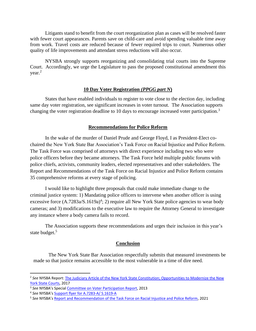Litigants stand to benefit from the court reorganization plan as cases will be resolved faster with fewer court appearances. Parents save on child-care and avoid spending valuable time away from work. Travel costs are reduced because of fewer required trips to court. Numerous other quality of life improvements and attendant stress reductions will also occur.

NYSBA strongly supports reorganizing and consolidating trial courts into the Supreme Court. Accordingly, we urge the Legislature to pass the proposed constitutional amendment this  $year<sup>2</sup>$ 

### **10 Day Voter Registration** *(PPGG part N***)**

States that have enabled individuals to register to vote close to the election day, including same day voter registration, see significant increases in voter turnout. The Association supports changing the voter registration deadline to 10 days to encourage increased voter participation.<sup>3</sup>

### **Recommendations for Police Reform**

In the wake of the murder of Daniel Prude and George Floyd, I as President-Elect cochaired the New York State Bar Association's Task Force on Racial Injustice and Police Reform. The Task Force was comprised of attorneys with direct experience including two who were police officers before they became attorneys. The Task Force held multiple public forums with police chiefs, activists, community leaders, elected representatives and other stakeholders. The Report and Recommendations of the Task Force on Racial Injustice and Police Reform contains 35 comprehensive reforms at every stage of policing.

I would like to highlight three proposals that could make immediate change to the criminal justice system: 1) Mandating police officers to intervene when another officer is using excessive force  $(A.7283a/S.1619a)^4$ ; 2) require all New York State police agencies to wear body cameras; and 3) modifications to the executive law to require the Attorney General to investigate any instance where a body camera fails to record.

The Association supports these recommendations and urges their inclusion in this year's state budget.<sup>5</sup>

### **Conclusion**

The New York State Bar Association respectfully submits that measured investments be made so that justice remains accessible to the most vulnerable in a time of dire need.

<sup>2</sup> *See* NYSBA Report: [The Judiciary Article of the New York State Constitution; Opportunities to Modernize the New](https://nysba.org/NYSBA/Practice%20Resources/Substantive%20Reports/PDF/Report%20on%20Judiciary%20Article.pdf)  [York State Courts,](https://nysba.org/NYSBA/Practice%20Resources/Substantive%20Reports/PDF/Report%20on%20Judiciary%20Article.pdf) 2017

<sup>&</sup>lt;sup>3</sup> See NYSBA's Special <u>Committee on Voter Participation Report</u>, 2013

<sup>4</sup> *See* NYSBA's [Support flyer for A.7283-A/ S.1619-A](https://nysba.org/app/uploads/2021/12/Duty-to-Intervene_web.pdf)

<sup>5</sup> *See* NYSBA'*s* [Report and Recommendation of the Task Force on Racial Injustice and Police Reform,](file:///C:/Users/cburke/AppData/Local/Microsoft/Windows/INetCache/Content.Outlook/UCT0J7E6/2021%20https:/nysba.org/app/uploads/2021/06/Report-by-the-Task-Force-for-Racial-Injustice-and-Police-Reform-FINAL-with-HOD-wording-on-cover.pdf) 2021